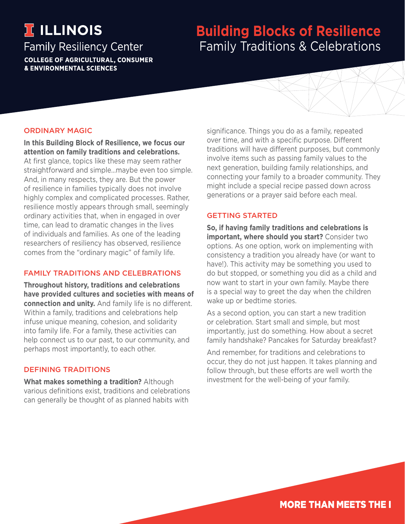# **TELLINOIS**

### **Family Resiliency Center COLLEGE OF AGRICULTURAL, CONSUMER**

**& ENVIRONMENTAL SCIENCES** 

## **Building Blocks of Resilience** Family Traditions & Celebrations

#### ORDINARY MAGIC

**In this Building Block of Resilience, we focus our attention on family traditions and celebrations.** At first glance, topics like these may seem rather straightforward and simple…maybe even too simple. And, in many respects, they are. But the power of resilience in families typically does not involve highly complex and complicated processes. Rather, resilience mostly appears through small, seemingly ordinary activities that, when in engaged in over time, can lead to dramatic changes in the lives of individuals and families. As one of the leading researchers of resiliency has observed, resilience comes from the "ordinary magic" of family life.

#### FAMILY TRADITIONS AND CELEBRATIONS

**Throughout history, traditions and celebrations have provided cultures and societies with means of connection and unity.** And family life is no different. Within a family, traditions and celebrations help infuse unique meaning, cohesion, and solidarity into family life. For a family, these activities can help connect us to our past, to our community, and perhaps most importantly, to each other.

#### DEFINING TRADITIONS

**What makes something a tradition?** Although various definitions exist, traditions and celebrations can generally be thought of as planned habits with

significance. Things you do as a family, repeated over time, and with a specific purpose. Different traditions will have different purposes, but commonly involve items such as passing family values to the next generation, building family relationships, and connecting your family to a broader community. They might include a special recipe passed down across generations or a prayer said before each meal.

#### GETTING STARTED

**So, if having family traditions and celebrations is important, where should you start?** Consider two options. As one option, work on implementing with consistency a tradition you already have (or want to have!). This activity may be something you used to do but stopped, or something you did as a child and now want to start in your own family. Maybe there is a special way to greet the day when the children wake up or bedtime stories.

As a second option, you can start a new tradition or celebration. Start small and simple, but most importantly, just do something. How about a secret family handshake? Pancakes for Saturday breakfast?

And remember, for traditions and celebrations to occur, they do not just happen. It takes planning and follow through, but these efforts are well worth the investment for the well-being of your family.

**MORE THAN MEETS THE I**